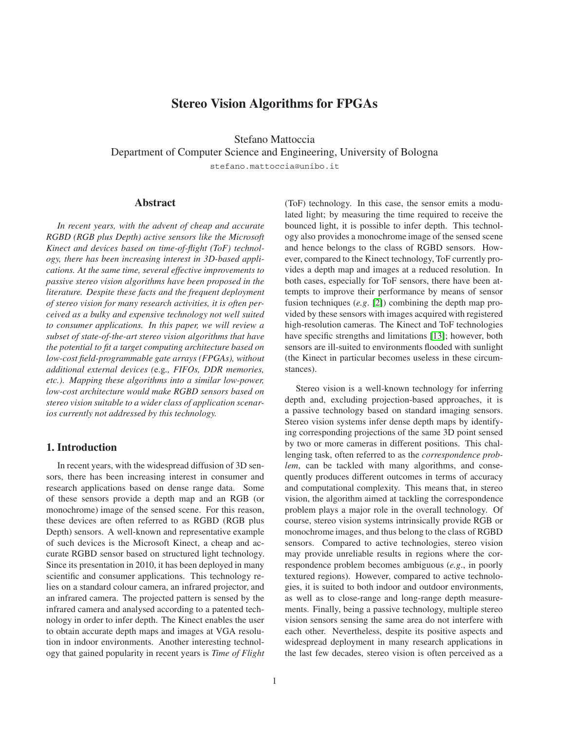# **Stereo Vision Algorithms for FPGAs**

Stefano Mattoccia

Department of Computer Science and Engineering, University of Bologna

stefano.mattoccia@unibo.it

# **Abstract**

*In recent years, with the advent of cheap and accurate RGBD (RGB plus Depth) active sensors like the Microsoft Kinect and devices based on time-of-flight (ToF) technology, there has been increasing interest in 3D-based applications. At the same time, several effective improvements to passive stereo vision algorithms have been proposed in the literature. Despite these facts and the frequent deployment of stereo vision for many research activities, it is often perceived as a bulky and expensive technology not well suited to consumer applications. In this paper, we will review a subset of state-of-the-art stereo vision algorithms that have the potential to fit a target computing architecture based on low-cost field-programmable gate arrays (FPGAs), without additional external devices (*e.g*., FIFOs, DDR memories, etc.). Mapping these algorithms into a similar low-power, low-cost architecture would make RGBD sensors based on stereo vision suitable to a wider class of application scenarios currently not addressed by this technology.*

# **1. Introduction**

In recent years, with the widespread diffusion of 3D sensors, there has been increasing interest in consumer and research applications based on dense range data. Some of these sensors provide a depth map and an RGB (or monochrome) image of the sensed scene. For this reason, these devices are often referred to as RGBD (RGB plus Depth) sensors. A well-known and representative example of such devices is the Microsoft Kinect, a cheap and accurate RGBD sensor based on structured light technology. Since its presentation in 2010, it has been deployed in many scientific and consumer applications. This technology relies on a standard colour camera, an infrared projector, and an infrared camera. The projected pattern is sensed by the infrared camera and analysed according to a patented technology in order to infer depth. The Kinect enables the user to obtain accurate depth maps and images at VGA resolution in indoor environments. Another interesting technology that gained popularity in recent years is *Time of Flight*

(ToF) technology. In this case, the sensor emits a modulated light; by measuring the time required to receive the bounced light, it is possible to infer depth. This technology also provides a monochrome image of the sensed scene and hence belongs to the class of RGBD sensors. However, compared to the Kinect technology, ToF currently provides a depth map and images at a reduced resolution. In both cases, especially for ToF sensors, there have been attempts to improve their performance by means of sensor fusion techniques (*e.g*. [\[2\]](#page-5-0)) combining the depth map provided by these sensors with images acquired with registered high-resolution cameras. The Kinect and ToF technologies have specific strengths and limitations [\[13\]](#page-5-1); however, both sensors are ill-suited to environments flooded with sunlight (the Kinect in particular becomes useless in these circumstances).

Stereo vision is a well-known technology for inferring depth and, excluding projection-based approaches, it is a passive technology based on standard imaging sensors. Stereo vision systems infer dense depth maps by identifying corresponding projections of the same 3D point sensed by two or more cameras in different positions. This challenging task, often referred to as the *correspondence problem*, can be tackled with many algorithms, and consequently produces different outcomes in terms of accuracy and computational complexity. This means that, in stereo vision, the algorithm aimed at tackling the correspondence problem plays a major role in the overall technology. Of course, stereo vision systems intrinsically provide RGB or monochrome images, and thus belong to the class of RGBD sensors. Compared to active technologies, stereo vision may provide unreliable results in regions where the correspondence problem becomes ambiguous (*e.g*., in poorly textured regions). However, compared to active technologies, it is suited to both indoor and outdoor environments, as well as to close-range and long-range depth measurements. Finally, being a passive technology, multiple stereo vision sensors sensing the same area do not interfere with each other. Nevertheless, despite its positive aspects and widespread deployment in many research applications in the last few decades, stereo vision is often perceived as a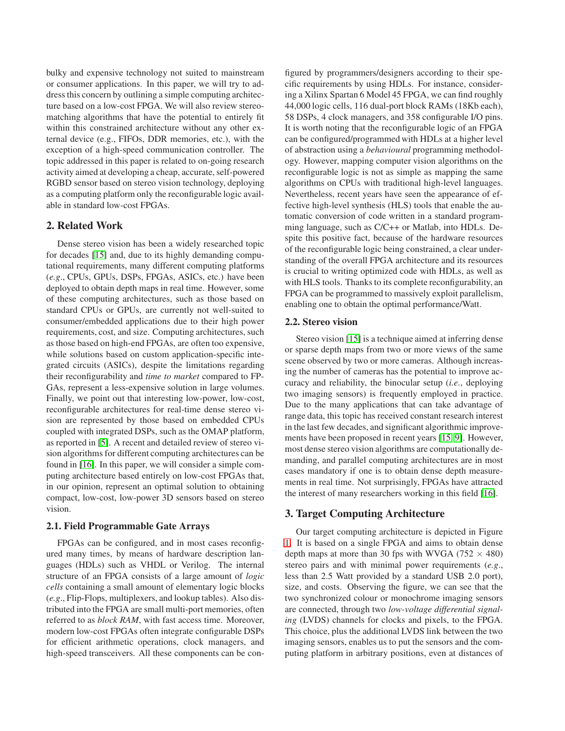bulky and expensive technology not suited to mainstream or consumer applications. In this paper, we will try to address this concern by outlining a simple computing architecture based on a low-cost FPGA. We will also review stereomatching algorithms that have the potential to entirely fit within this constrained architecture without any other external device (e.g., FIFOs, DDR memories, etc.), with the exception of a high-speed communication controller. The topic addressed in this paper is related to on-going research activity aimed at developing a cheap, accurate, self-powered RGBD sensor based on stereo vision technology, deploying as a computing platform only the reconfigurable logic available in standard low-cost FPGAs.

### **2. Related Work**

Dense stereo vision has been a widely researched topic for decades [\[15\]](#page-5-2) and, due to its highly demanding computational requirements, many different computing platforms (*e.g*., CPUs, GPUs, DSPs, FPGAs, ASICs, etc.) have been deployed to obtain depth maps in real time. However, some of these computing architectures, such as those based on standard CPUs or GPUs, are currently not well-suited to consumer/embedded applications due to their high power requirements, cost, and size. Computing architectures, such as those based on high-end FPGAs, are often too expensive, while solutions based on custom application-specific integrated circuits (ASICs), despite the limitations regarding their reconfigurability and *time to market* compared to FP-GAs, represent a less-expensive solution in large volumes. Finally, we point out that interesting low-power, low-cost, reconfigurable architectures for real-time dense stereo vision are represented by those based on embedded CPUs coupled with integrated DSPs, such as the OMAP platform, as reported in [\[5\]](#page-5-3). A recent and detailed review of stereo vision algorithms for different computing architectures can be found in [\[16\]](#page-5-4). In this paper, we will consider a simple computing architecture based entirely on low-cost FPGAs that, in our opinion, represent an optimal solution to obtaining compact, low-cost, low-power 3D sensors based on stereo vision.

#### **2.1. Field Programmable Gate Arrays**

FPGAs can be configured, and in most cases reconfigured many times, by means of hardware description languages (HDLs) such as VHDL or Verilog. The internal structure of an FPGA consists of a large amount of *logic cells* containing a small amount of elementary logic blocks (*e.g*., Flip-Flops, multiplexers, and lookup tables). Also distributed into the FPGA are small multi-port memories, often referred to as *block RAM*, with fast access time. Moreover, modern low-cost FPGAs often integrate configurable DSPs for efficient arithmetic operations, clock managers, and high-speed transceivers. All these components can be configured by programmers/designers according to their specific requirements by using HDLs. For instance, considering a Xilinx Spartan 6 Model 45 FPGA, we can find roughly 44,000 logic cells, 116 dual-port block RAMs (18Kb each), 58 DSPs, 4 clock managers, and 358 configurable I/O pins. It is worth noting that the reconfigurable logic of an FPGA can be configured/programmed with HDLs at a higher level of abstraction using a *behavioural* programming methodology. However, mapping computer vision algorithms on the reconfigurable logic is not as simple as mapping the same algorithms on CPUs with traditional high-level languages. Nevertheless, recent years have seen the appearance of effective high-level synthesis (HLS) tools that enable the automatic conversion of code written in a standard programming language, such as C/C++ or Matlab, into HDLs. Despite this positive fact, because of the hardware resources of the reconfigurable logic being constrained, a clear understanding of the overall FPGA architecture and its resources is crucial to writing optimized code with HDLs, as well as with HLS tools. Thanks to its complete reconfigurability, an FPGA can be programmed to massively exploit parallelism, enabling one to obtain the optimal performance/Watt.

#### **2.2. Stereo vision**

Stereo vision [\[15\]](#page-5-2) is a technique aimed at inferring dense or sparse depth maps from two or more views of the same scene observed by two or more cameras. Although increasing the number of cameras has the potential to improve accuracy and reliability, the binocular setup (*i.e*., deploying two imaging sensors) is frequently employed in practice. Due to the many applications that can take advantage of range data, this topic has received constant research interest in the last few decades, and significant algorithmic improvements have been proposed in recent years [\[15,](#page-5-2) [9\]](#page-5-5). However, most dense stereo vision algorithms are computationally demanding, and parallel computing architectures are in most cases mandatory if one is to obtain dense depth measurements in real time. Not surprisingly, FPGAs have attracted the interest of many researchers working in this field [\[16\]](#page-5-4).

### **3. Target Computing Architecture**

Our target computing architecture is depicted in Figure [1.](#page-2-0) It is based on a single FPGA and aims to obtain dense depth maps at more than 30 fps with WVGA  $(752 \times 480)$ stereo pairs and with minimal power requirements (*e.g*., less than 2.5 Watt provided by a standard USB 2.0 port), size, and costs. Observing the figure, we can see that the two synchronized colour or monochrome imaging sensors are connected, through two *low-voltage differential signaling* (LVDS) channels for clocks and pixels, to the FPGA. This choice, plus the additional LVDS link between the two imaging sensors, enables us to put the sensors and the computing platform in arbitrary positions, even at distances of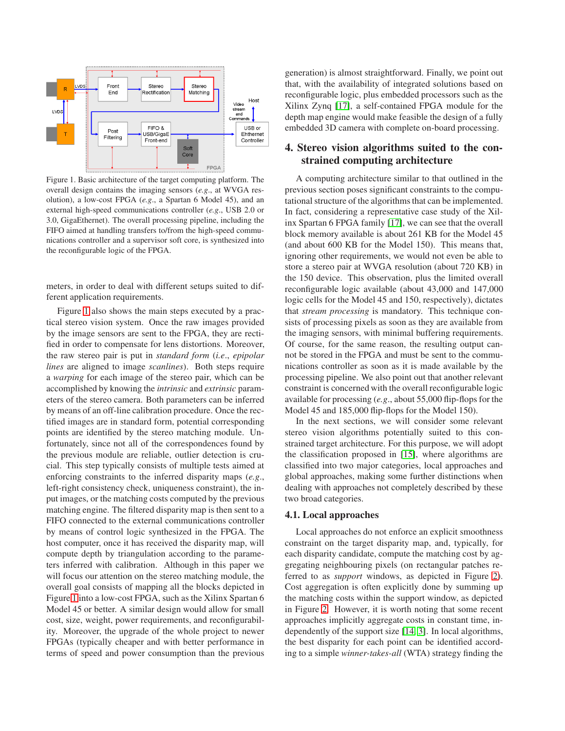

<span id="page-2-0"></span>Figure 1. Basic architecture of the target computing platform. The overall design contains the imaging sensors (*e.g*., at WVGA resolution), a low-cost FPGA (*e.g*., a Spartan 6 Model 45), and an external high-speed communications controller (*e.g*., USB 2.0 or 3.0, GigaEthernet). The overall processing pipeline, including the FIFO aimed at handling transfers to/from the high-speed communications controller and a supervisor soft core, is synthesized into the reconfigurable logic of the FPGA.

meters, in order to deal with different setups suited to different application requirements.

Figure [1](#page-2-0) also shows the main steps executed by a practical stereo vision system. Once the raw images provided by the image sensors are sent to the FPGA, they are rectified in order to compensate for lens distortions. Moreover, the raw stereo pair is put in *standard form* (*i.e*., *epipolar lines* are aligned to image *scanlines*). Both steps require a *warping* for each image of the stereo pair, which can be accomplished by knowing the *intrinsic* and *extrinsic* parameters of the stereo camera. Both parameters can be inferred by means of an off-line calibration procedure. Once the rectified images are in standard form, potential corresponding points are identified by the stereo matching module. Unfortunately, since not all of the correspondences found by the previous module are reliable, outlier detection is crucial. This step typically consists of multiple tests aimed at enforcing constraints to the inferred disparity maps (*e.g*., left-right consistency check, uniqueness constraint), the input images, or the matching costs computed by the previous matching engine. The filtered disparity map is then sent to a FIFO connected to the external communications controller by means of control logic synthesized in the FPGA. The host computer, once it has received the disparity map, will compute depth by triangulation according to the parameters inferred with calibration. Although in this paper we will focus our attention on the stereo matching module, the overall goal consists of mapping all the blocks depicted in Figure [1](#page-2-0) into a low-cost FPGA, such as the Xilinx Spartan 6 Model 45 or better. A similar design would allow for small cost, size, weight, power requirements, and reconfigurability. Moreover, the upgrade of the whole project to newer FPGAs (typically cheaper and with better performance in terms of speed and power consumption than the previous

generation) is almost straightforward. Finally, we point out that, with the availability of integrated solutions based on reconfigurable logic, plus embedded processors such as the Xilinx Zynq [\[17\]](#page-5-6), a self-contained FPGA module for the depth map engine would make feasible the design of a fully embedded 3D camera with complete on-board processing.

# **4. Stereo vision algorithms suited to the constrained computing architecture**

A computing architecture similar to that outlined in the previous section poses significant constraints to the computational structure of the algorithms that can be implemented. In fact, considering a representative case study of the Xilinx Spartan 6 FPGA family [\[17\]](#page-5-6), we can see that the overall block memory available is about 261 KB for the Model 45 (and about 600 KB for the Model 150). This means that, ignoring other requirements, we would not even be able to store a stereo pair at WVGA resolution (about 720 KB) in the 150 device. This observation, plus the limited overall reconfigurable logic available (about 43,000 and 147,000 logic cells for the Model 45 and 150, respectively), dictates that *stream processing* is mandatory. This technique consists of processing pixels as soon as they are available from the imaging sensors, with minimal buffering requirements. Of course, for the same reason, the resulting output cannot be stored in the FPGA and must be sent to the communications controller as soon as it is made available by the processing pipeline. We also point out that another relevant constraint is concerned with the overall reconfigurable logic available for processing (*e.g*., about 55,000 flip-flops for the Model 45 and 185,000 flip-flops for the Model 150).

In the next sections, we will consider some relevant stereo vision algorithms potentially suited to this constrained target architecture. For this purpose, we will adopt the classification proposed in [\[15\]](#page-5-2), where algorithms are classified into two major categories, local approaches and global approaches, making some further distinctions when dealing with approaches not completely described by these two broad categories.

## **4.1. Local approaches**

Local approaches do not enforce an explicit smoothness constraint on the target disparity map, and, typically, for each disparity candidate, compute the matching cost by aggregating neighbouring pixels (on rectangular patches referred to as *support* windows, as depicted in Figure [2\)](#page-3-0). Cost aggregation is often explicitly done by summing up the matching costs within the support window, as depicted in Figure [2.](#page-3-0) However, it is worth noting that some recent approaches implicitly aggregate costs in constant time, independently of the support size [\[14,](#page-5-7) [3\]](#page-5-8). In local algorithms, the best disparity for each point can be identified according to a simple *winner-takes-all* (WTA) strategy finding the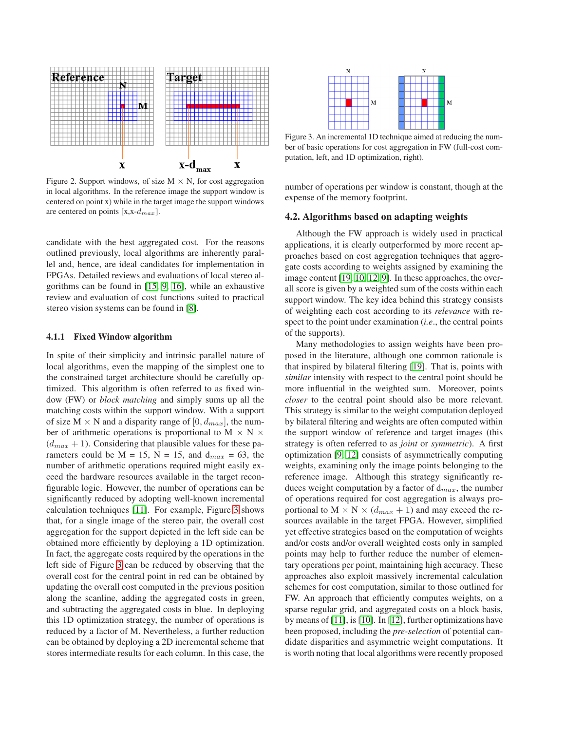

<span id="page-3-0"></span>Figure 2. Support windows, of size  $M \times N$ , for cost aggregation in local algorithms. In the reference image the support window is centered on point x) while in the target image the support windows are centered on points [x,x-d*max*].

candidate with the best aggregated cost. For the reasons outlined previously, local algorithms are inherently parallel and, hence, are ideal candidates for implementation in FPGAs. Detailed reviews and evaluations of local stereo algorithms can be found in [\[15,](#page-5-2) [9,](#page-5-5) [16\]](#page-5-4), while an exhaustive review and evaluation of cost functions suited to practical stereo vision systems can be found in [\[8\]](#page-5-9).

#### **4.1.1 Fixed Window algorithm**

In spite of their simplicity and intrinsic parallel nature of local algorithms, even the mapping of the simplest one to the constrained target architecture should be carefully optimized. This algorithm is often referred to as fixed window (FW) or *block matching* and simply sums up all the matching costs within the support window. With a support of size  $M \times N$  and a disparity range of  $[0, d_{max}]$ , the number of arithmetic operations is proportional to  $M \times N \times$  $(d_{max} + 1)$ . Considering that plausible values for these parameters could be  $M = 15$ ,  $N = 15$ , and  $d_{max} = 63$ , the number of arithmetic operations required might easily exceed the hardware resources available in the target reconfigurable logic. However, the number of operations can be significantly reduced by adopting well-known incremental calculation techniques [\[11\]](#page-5-10). For example, Figure [3](#page-3-1) shows that, for a single image of the stereo pair, the overall cost aggregation for the support depicted in the left side can be obtained more efficiently by deploying a 1D optimization. In fact, the aggregate costs required by the operations in the left side of Figure [3](#page-3-1) can be reduced by observing that the overall cost for the central point in red can be obtained by updating the overall cost computed in the previous position along the scanline, adding the aggregated costs in green, and subtracting the aggregated costs in blue. In deploying this 1D optimization strategy, the number of operations is reduced by a factor of M. Nevertheless, a further reduction can be obtained by deploying a 2D incremental scheme that stores intermediate results for each column. In this case, the



<span id="page-3-1"></span>Figure 3. An incremental 1D technique aimed at reducing the number of basic operations for cost aggregation in FW (full-cost computation, left, and 1D optimization, right).

number of operations per window is constant, though at the expense of the memory footprint.

#### **4.2. Algorithms based on adapting weights**

Although the FW approach is widely used in practical applications, it is clearly outperformed by more recent approaches based on cost aggregation techniques that aggregate costs according to weights assigned by examining the image content [\[19,](#page-5-11) [10,](#page-5-12) [12,](#page-5-13) [9\]](#page-5-5). In these approaches, the overall score is given by a weighted sum of the costs within each support window. The key idea behind this strategy consists of weighting each cost according to its *relevance* with respect to the point under examination (*i.e*., the central points of the supports).

Many methodologies to assign weights have been proposed in the literature, although one common rationale is that inspired by bilateral filtering [\[19\]](#page-5-11). That is, points with *similar* intensity with respect to the central point should be more influential in the weighted sum. Moreover, points *closer* to the central point should also be more relevant. This strategy is similar to the weight computation deployed by bilateral filtering and weights are often computed within the support window of reference and target images (this strategy is often referred to as *joint* or *symmetric*). A first optimization [\[9,](#page-5-5) [12\]](#page-5-13) consists of asymmetrically computing weights, examining only the image points belonging to the reference image. Although this strategy significantly reduces weight computation by a factor of d*max*, the number of operations required for cost aggregation is always proportional to  $M \times N \times (d_{max} + 1)$  and may exceed the resources available in the target FPGA. However, simplified yet effective strategies based on the computation of weights and/or costs and/or overall weighted costs only in sampled points may help to further reduce the number of elementary operations per point, maintaining high accuracy. These approaches also exploit massively incremental calculation schemes for cost computation, similar to those outlined for FW. An approach that efficiently computes weights, on a sparse regular grid, and aggregated costs on a block basis, by means of [\[11\]](#page-5-10), is [\[10\]](#page-5-12). In [\[12\]](#page-5-13), further optimizations have been proposed, including the *pre-selection* of potential candidate disparities and asymmetric weight computations. It is worth noting that local algorithms were recently proposed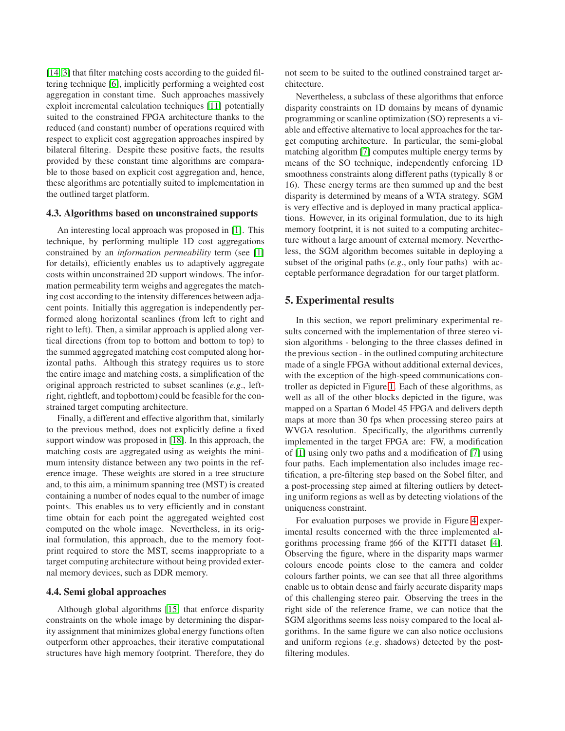[\[14,](#page-5-7) [3\]](#page-5-8) that filter matching costs according to the guided filtering technique [\[6\]](#page-5-14), implicitly performing a weighted cost aggregation in constant time. Such approaches massively exploit incremental calculation techniques [\[11\]](#page-5-10) potentially suited to the constrained FPGA architecture thanks to the reduced (and constant) number of operations required with respect to explicit cost aggregation approaches inspired by bilateral filtering. Despite these positive facts, the results provided by these constant time algorithms are comparable to those based on explicit cost aggregation and, hence, these algorithms are potentially suited to implementation in the outlined target platform.

#### **4.3. Algorithms based on unconstrained supports**

An interesting local approach was proposed in [\[1\]](#page-5-15). This technique, by performing multiple 1D cost aggregations constrained by an *information permeability* term (see [\[1\]](#page-5-15) for details), efficiently enables us to adaptively aggregate costs within unconstrained 2D support windows. The information permeability term weighs and aggregates the matching cost according to the intensity differences between adjacent points. Initially this aggregation is independently performed along horizontal scanlines (from left to right and right to left). Then, a similar approach is applied along vertical directions (from top to bottom and bottom to top) to the summed aggregated matching cost computed along horizontal paths. Although this strategy requires us to store the entire image and matching costs, a simplification of the original approach restricted to subset scanlines (*e.g*., leftright, rightleft, and topbottom) could be feasible for the constrained target computing architecture.

Finally, a different and effective algorithm that, similarly to the previous method, does not explicitly define a fixed support window was proposed in [\[18\]](#page-5-16). In this approach, the matching costs are aggregated using as weights the minimum intensity distance between any two points in the reference image. These weights are stored in a tree structure and, to this aim, a minimum spanning tree (MST) is created containing a number of nodes equal to the number of image points. This enables us to very efficiently and in constant time obtain for each point the aggregated weighted cost computed on the whole image. Nevertheless, in its original formulation, this approach, due to the memory footprint required to store the MST, seems inappropriate to a target computing architecture without being provided external memory devices, such as DDR memory.

#### **4.4. Semi global approaches**

Although global algorithms [\[15\]](#page-5-2) that enforce disparity constraints on the whole image by determining the disparity assignment that minimizes global energy functions often outperform other approaches, their iterative computational structures have high memory footprint. Therefore, they do not seem to be suited to the outlined constrained target architecture.

Nevertheless, a subclass of these algorithms that enforce disparity constraints on 1D domains by means of dynamic programming or scanline optimization (SO) represents a viable and effective alternative to local approaches for the target computing architecture. In particular, the semi-global matching algorithm [\[7\]](#page-5-17) computes multiple energy terms by means of the SO technique, independently enforcing 1D smoothness constraints along different paths (typically 8 or 16). These energy terms are then summed up and the best disparity is determined by means of a WTA strategy. SGM is very effective and is deployed in many practical applications. However, in its original formulation, due to its high memory footprint, it is not suited to a computing architecture without a large amount of external memory. Nevertheless, the SGM algorithm becomes suitable in deploying a subset of the original paths (*e.g*., only four paths) with acceptable performance degradation for our target platform.

### **5. Experimental results**

In this section, we report preliminary experimental results concerned with the implementation of three stereo vision algorithms - belonging to the three classes defined in the previous section - in the outlined computing architecture made of a single FPGA without additional external devices, with the exception of the high-speed communications controller as depicted in Figure [1.](#page-2-0) Each of these algorithms, as well as all of the other blocks depicted in the figure, was mapped on a Spartan 6 Model 45 FPGA and delivers depth maps at more than 30 fps when processing stereo pairs at WVGA resolution. Specifically, the algorithms currently implemented in the target FPGA are: FW, a modification of [\[1\]](#page-5-15) using only two paths and a modification of [\[7\]](#page-5-17) using four paths. Each implementation also includes image rectification, a pre-filtering step based on the Sobel filter, and a post-processing step aimed at filtering outliers by detecting uniform regions as well as by detecting violations of the uniqueness constraint.

For evaluation purposes we provide in Figure [4](#page-5-18) experimental results concerned with the three implemented al-gorithms processing frame #66 of the KITTI dataset [\[4\]](#page-5-19). Observing the figure, where in the disparity maps warmer colours encode points close to the camera and colder colours farther points, we can see that all three algorithms enable us to obtain dense and fairly accurate disparity maps of this challenging stereo pair. Observing the trees in the right side of the reference frame, we can notice that the SGM algorithms seems less noisy compared to the local algorithms. In the same figure we can also notice occlusions and uniform regions (*e.g*. shadows) detected by the postfiltering modules.